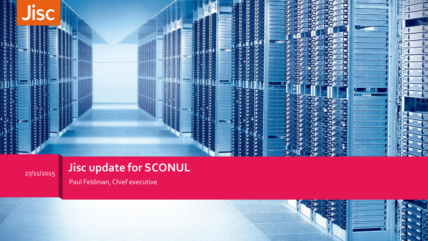

### **Jisc update for SCONUL**

Paul Feldman, Chief executive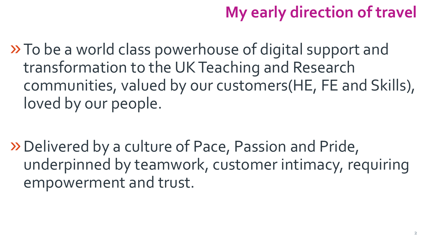# **My early direction of travel**

»To be a world class powerhouse of digital support and transformation to the UK Teaching and Research communities, valued by our customers(HE, FE and Skills), loved by our people.

»Delivered by a culture of Pace, Passion and Pride, underpinned by teamwork, customer intimacy, requiring empowerment and trust.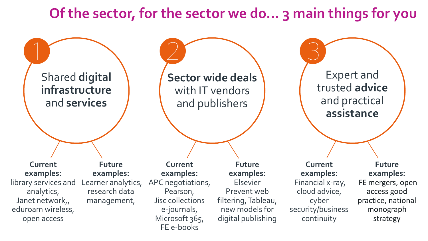#### **Of the sector, for the sector we do… 3 main things for you**

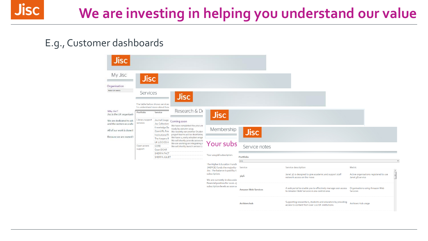## **We are investing in helping you understand our value**

#### E.g., Customer dashboards

**Jisc** 

| Jisc<br>My Jisc                                                                                                                                        | <b>Jisc</b>                                                                            |                                                                                                                                                                  |                                                                                                                                                                                                                                                                                              |                                                                                                      |                                                                                        |                                                                                                                 |                                            |  |
|--------------------------------------------------------------------------------------------------------------------------------------------------------|----------------------------------------------------------------------------------------|------------------------------------------------------------------------------------------------------------------------------------------------------------------|----------------------------------------------------------------------------------------------------------------------------------------------------------------------------------------------------------------------------------------------------------------------------------------------|------------------------------------------------------------------------------------------------------|----------------------------------------------------------------------------------------|-----------------------------------------------------------------------------------------------------------------|--------------------------------------------|--|
| Organisation<br>Arton University                                                                                                                       | Services                                                                               |                                                                                                                                                                  | <b>Jisc</b>                                                                                                                                                                                                                                                                                  |                                                                                                      |                                                                                        |                                                                                                                 |                                            |  |
| Why Jise?<br>Jisc is the UK organisatio<br>We are dedicated to adv<br>and the sectors as a who<br>All of our work is done th<br>Because we are owned b | The table below shows services<br>To understand more about how<br>Portfolio<br>Service |                                                                                                                                                                  | Research & De                                                                                                                                                                                                                                                                                |                                                                                                      |                                                                                        |                                                                                                                 |                                            |  |
|                                                                                                                                                        | Library support<br>services<br>CORE<br>Open access<br>support<br>Open DOAR             | Journal Usage<br><b>Jisc Collection</b><br>Knowledge Ba<br>OpenURL Rou<br>Institutional R<br>The Keepers R<br>UK LOCKSS A<br><b>SHERPA FACT</b><br>SHERPA JULIET | Coming soon<br>We have completed the procure<br>ready by autumn 2015.<br>We recently ran another Studen<br>project teams will be shortlisting<br>We have 14 early adopters enga-<br>We will shortly provide access to<br>We are working on integrating o<br>We will shortly launch version 2 | <b>Jisc</b><br>Membership                                                                            | <b>Jisc</b>                                                                            |                                                                                                                 |                                            |  |
|                                                                                                                                                        |                                                                                        |                                                                                                                                                                  |                                                                                                                                                                                                                                                                                              | Your subs<br>Your 2015/16 subscription:<br>The Higher Education Fundir<br>(HEFCE) funds the majority | Service notes                                                                          |                                                                                                                 |                                            |  |
|                                                                                                                                                        |                                                                                        |                                                                                                                                                                  |                                                                                                                                                                                                                                                                                              |                                                                                                      | Portfolio<br><b>WD</b><br>Service                                                      | <b>Service description</b>                                                                                      | Metric                                     |  |
|                                                                                                                                                        |                                                                                        |                                                                                                                                                                  | Jisc. The balance is paid by E<br>subscription.<br>We are currently in discussio<br>financial position for 2016-17                                                                                                                                                                           | 3/4G                                                                                                 | Janet 3G is designed to give academic and support staff<br>network access on the move. | Active organisations registered to use<br>Janet 3G service                                                      | $\begin{array}{c} \hline \end{array}$      |  |
|                                                                                                                                                        |                                                                                        |                                                                                                                                                                  |                                                                                                                                                                                                                                                                                              | subscription levels as soon as                                                                       | <b>Amazon Web Services</b>                                                             | A web portal to enable you to effectively manage user access<br>to Amazon Web Services in one central area.     | Organisations using Amazon Web<br>Services |  |
|                                                                                                                                                        |                                                                                        |                                                                                                                                                                  |                                                                                                                                                                                                                                                                                              |                                                                                                      | Archives hub                                                                           | Supporting researchers, students and educators by providing<br>access to content from over 220 UK institutions. | Archives Hub usage                         |  |